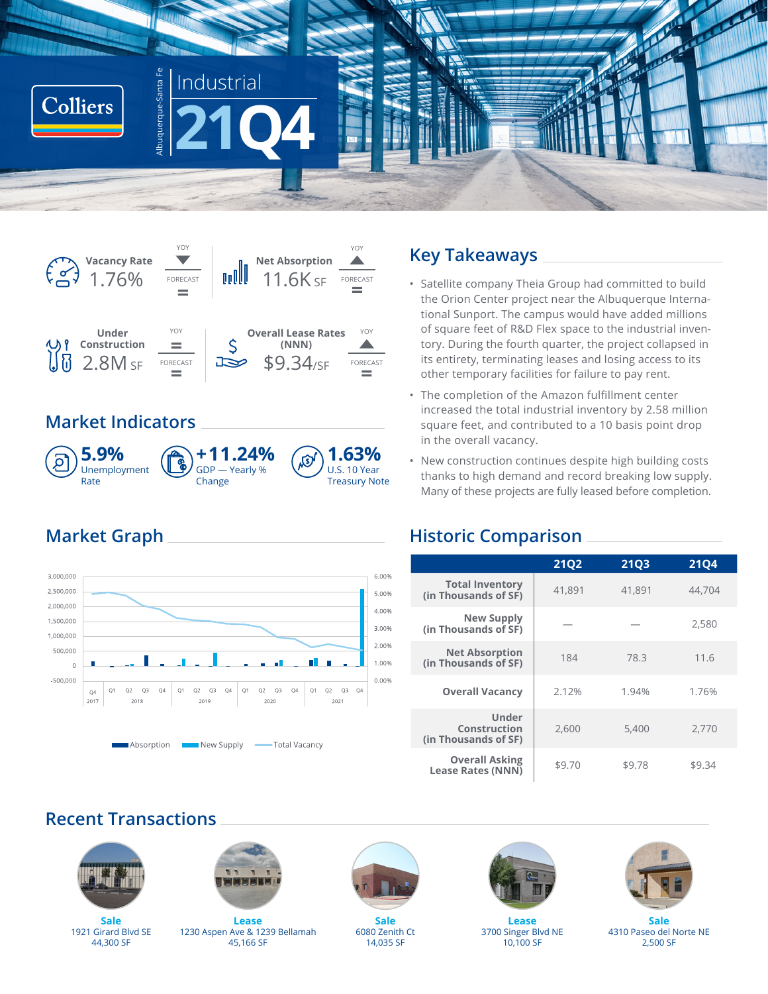



# **Market Indicators**



# **Market Graph**



## **Key Takeaways**

- Satellite company Theia Group had committed to build the Orion Center project near the Albuquerque International Sunport. The campus would have added millions of square feet of R&D Flex space to the industrial inventory. During the fourth quarter, the project collapsed in its entirety, terminating leases and losing access to its other temporary facilities for failure to pay rent.
- The completion of the Amazon fulfillment center increased the total industrial inventory by 2.58 million square feet, and contributed to a 10 basis point drop in the overall vacancy.
- New construction continues despite high building costs thanks to high demand and record breaking low supply. Many of these projects are fully leased before completion.

## **Historic Comparison**

|                                                   | <b>21Q2</b> | <b>21Q3</b> | <b>21Q4</b> |
|---------------------------------------------------|-------------|-------------|-------------|
| <b>Total Inventory</b><br>(in Thousands of SF)    | 41,891      | 41,891      | 44,704      |
| New Supply<br>(in Thousands of SF)                |             |             | 2,580       |
| <b>Net Absorption</b><br>(in Thousands of SF)     | 184         | 78.3        | 11.6        |
| <b>Overall Vacancy</b>                            | 2.12%       | 1.94%       | 1.76%       |
| Under<br>Construction<br>(in Thousands of SF)     | 2.600       | 5,400       | 2,770       |
| <b>Overall Asking</b><br><b>Lease Rates (NNN)</b> | \$9.70      | \$9.78      | \$9.34      |

# **Recent Transactions**



**Sale** 1921 Girard Blvd SE 44,300 SF



**Lease** 1230 Aspen Ave & 1239 Bellamah 45,166 SF



**Sale** 6080 Zenith Ct 14,035 SF



**Lease** 3700 Singer Blvd NE 10,100 SF



**Sale** 4310 Paseo del Norte NE 2,500 SF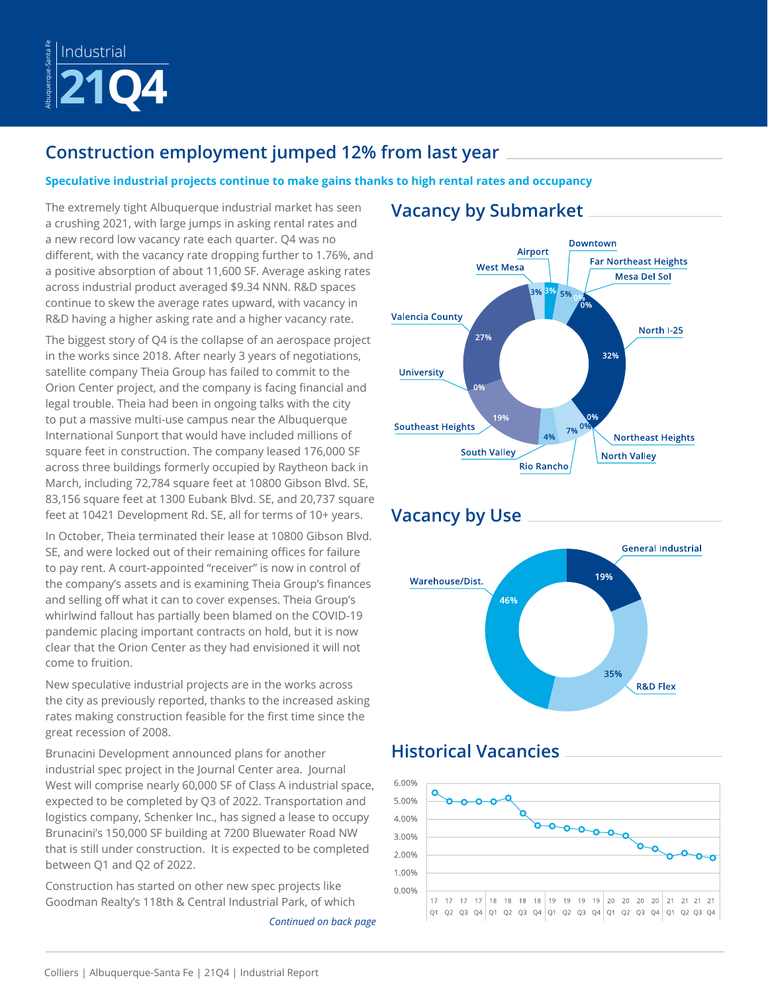

# **Construction employment jumped 12% from last year**

### **Speculative industrial projects continue to make gains thanks to high rental rates and occupancy**

The extremely tight Albuquerque industrial market has seen a crushing 2021, with large jumps in asking rental rates and a new record low vacancy rate each quarter. Q4 was no different, with the vacancy rate dropping further to 1.76%, and a positive absorption of about 11,600 SF. Average asking rates across industrial product averaged \$9.34 NNN. R&D spaces continue to skew the average rates upward, with vacancy in R&D having a higher asking rate and a higher vacancy rate.

The biggest story of Q4 is the collapse of an aerospace project in the works since 2018. After nearly 3 years of negotiations, satellite company Theia Group has failed to commit to the Orion Center project, and the company is facing financial and legal trouble. Theia had been in ongoing talks with the city to put a massive multi-use campus near the Albuquerque International Sunport that would have included millions of square feet in construction. The company leased 176,000 SF across three buildings formerly occupied by Raytheon back in March, including 72,784 square feet at 10800 Gibson Blvd. SE, 83,156 square feet at 1300 Eubank Blvd. SE, and 20,737 square feet at 10421 Development Rd. SE, all for terms of 10+ years.

In October, Theia terminated their lease at 10800 Gibson Blvd. SE, and were locked out of their remaining offices for failure to pay rent. A court-appointed "receiver" is now in control of the company's assets and is examining Theia Group's finances and selling off what it can to cover expenses. Theia Group's whirlwind fallout has partially been blamed on the COVID-19 pandemic placing important contracts on hold, but it is now clear that the Orion Center as they had envisioned it will not come to fruition.

New speculative industrial projects are in the works across the city as previously reported, thanks to the increased asking rates making construction feasible for the first time since the great recession of 2008.

Brunacini Development announced plans for another industrial spec project in the Journal Center area. Journal West will comprise nearly 60,000 SF of Class A industrial space, expected to be completed by Q3 of 2022. Transportation and logistics company, Schenker Inc., has signed a lease to occupy Brunacini's 150,000 SF building at 7200 Bluewater Road NW that is still under construction. It is expected to be completed between Q1 and Q2 of 2022.

Construction has started on other new spec projects like Goodman Realty's 118th & Central Industrial Park, of which

*Continued on back page*

# **Vacancy by Submarket**



# **Vacancy by Use**



# **Historical Vacancies**

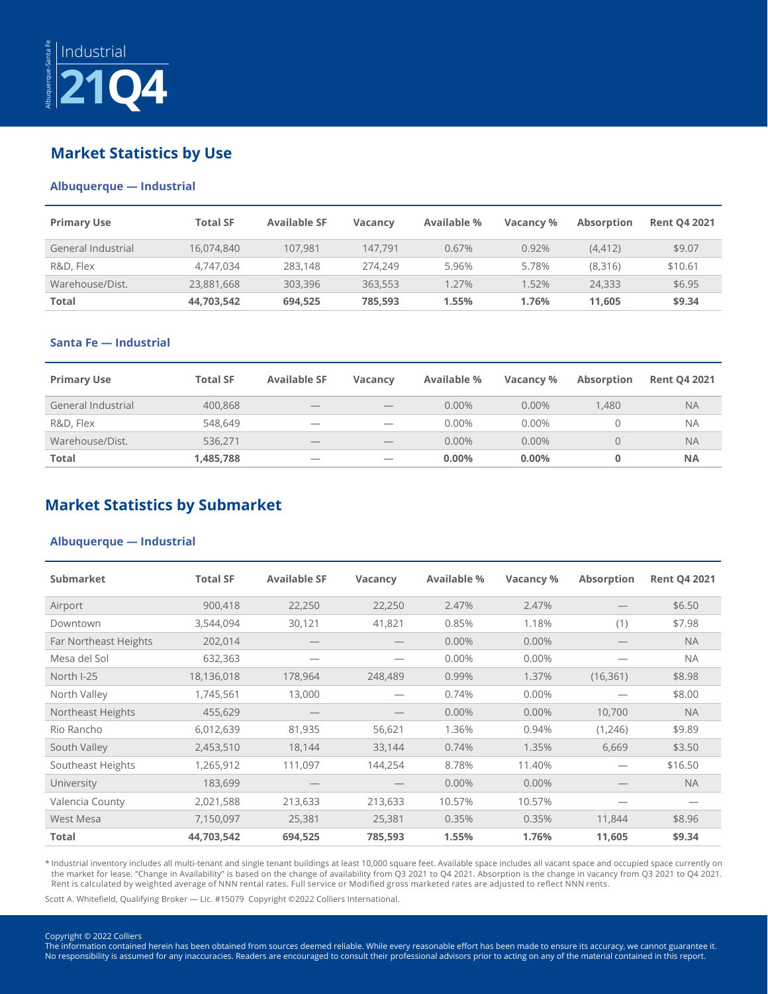

## **Market Statistics by Use**

#### **Albuquerque — Industrial**

| <b>Primary Use</b> | <b>Total SF</b> | <b>Available SF</b> | <b>Vacancy</b> | Available % | Vacancy % | Absorption | <b>Rent Q4 2021</b> |
|--------------------|-----------------|---------------------|----------------|-------------|-----------|------------|---------------------|
| General Industrial | 16,074,840      | 107.981             | 147.791        | 0.67%       | 0.92%     | (4, 412)   | \$9.07              |
| R&D, Flex          | 4.747.034       | 283,148             | 274.249        | 5.96%       | 5.78%     | (8,316)    | \$10.61             |
| Warehouse/Dist.    | 23,881,668      | 303,396             | 363,553        | .27%        | $1.52\%$  | 24,333     | \$6.95              |
| Total              | 44,703,542      | 694,525             | 785.593        | 1.55%       | 1.76%     | 11.605     | \$9.34              |

#### **Santa Fe — Industrial**

| <b>Primary Use</b> | <b>Total SF</b> | <b>Available SF</b>      | <b>Vacancy</b>                  | Available % | Vacancy % | <b>Absorption</b> | <b>Rent Q4 2021</b> |
|--------------------|-----------------|--------------------------|---------------------------------|-------------|-----------|-------------------|---------------------|
| General Industrial | 400,868         | $\overline{\phantom{a}}$ | $\overline{\phantom{a}}$        | 0.00%       | 0.00%     | 1.480             | <b>NA</b>           |
| R&D, Flex          | 548,649         | $\overline{\phantom{a}}$ | $\overline{\phantom{a}}$        | 0.00%       | 0.00%     | 0                 | <b>NA</b>           |
| Warehouse/Dist.    | 536.271         | $\overline{\phantom{a}}$ | $\hspace{0.1mm}-\hspace{0.1mm}$ | 0.00%       | $0.00\%$  | $\Omega$          | <b>NA</b>           |
| <b>Total</b>       | 1,485,788       | _                        |                                 | $0.00\%$    | $0.00\%$  | 0                 | <b>NA</b>           |

## **Market Statistics by Submarket**

#### **Albuquerque — Industrial**

| Submarket             | <b>Total SF</b> | <b>Available SF</b> | <b>Vacancy</b> | Available % | Vacancy % | <b>Absorption</b> | <b>Rent Q4 2021</b> |
|-----------------------|-----------------|---------------------|----------------|-------------|-----------|-------------------|---------------------|
| Airport               | 900,418         | 22,250              | 22,250         | 2.47%       | 2.47%     |                   | \$6.50              |
| Downtown              | 3,544,094       | 30,121              | 41,821         | 0.85%       | 1.18%     | (1)               | \$7.98              |
| Far Northeast Heights | 202,014         |                     |                | $0.00\%$    | $0.00\%$  |                   | <b>NA</b>           |
| Mesa del Sol          | 632,363         |                     |                | 0.00%       | 0.00%     |                   | <b>NA</b>           |
| North I-25            | 18,136,018      | 178,964             | 248,489        | 0.99%       | 1.37%     | (16, 361)         | \$8.98              |
| North Valley          | 1,745,561       | 13,000              |                | 0.74%       | 0.00%     |                   | \$8.00              |
| Northeast Heights     | 455,629         |                     |                | $0.00\%$    | 0.00%     | 10,700            | <b>NA</b>           |
| Rio Rancho            | 6,012,639       | 81,935              | 56,621         | 1.36%       | 0.94%     | (1,246)           | \$9.89              |
| South Valley          | 2,453,510       | 18,144              | 33,144         | 0.74%       | 1.35%     | 6,669             | \$3.50              |
| Southeast Heights     | 1,265,912       | 111,097             | 144,254        | 8.78%       | 11.40%    |                   | \$16.50             |
| University            | 183,699         |                     |                | $0.00\%$    | 0.00%     |                   | <b>NA</b>           |
| Valencia County       | 2,021,588       | 213,633             | 213,633        | 10.57%      | 10.57%    |                   |                     |
| West Mesa             | 7,150,097       | 25,381              | 25,381         | 0.35%       | 0.35%     | 11,844            | \$8.96              |
| <b>Total</b>          | 44,703,542      | 694,525             | 785,593        | 1.55%       | 1.76%     | 11,605            | \$9.34              |

\* Industrial inventory includes all multi-tenant and single tenant buildings at least 10,000 square feet. Available space includes all vacant space and occupied space currently on the market for lease. "Change in Availability" is based on the change of availability from Q3 2021 to Q4 2021. Absorption is the change in vacancy from Q3 2021 to Q4 2021. Rent is calculated by weighted average of NNN rental rates. Full service or Modified gross marketed rates are adjusted to reflect NNN rents.

Scott A. Whitefield, Qualifying Broker — Lic. #15079 Copyright ©2022 Colliers International.

Copyright © 2022 Colliers The information contained herein has been obtained from sources deemed reliable. While every reasonable effort has been made to ensure its accuracy, we cannot guarantee it. No responsibility is assumed for any inaccuracies. Readers are encouraged to consult their professional advisors prior to acting on any of the material contained in this report.